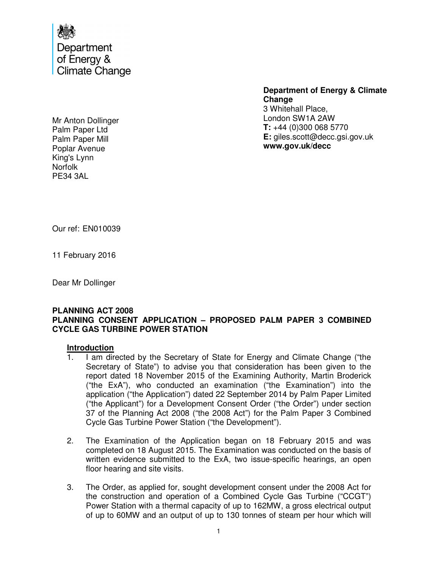

Mr Anton Dollinger Palm Paper Ltd Palm Paper Mill Poplar Avenue King's Lynn Norfolk PE34 3AL

**Department of Energy & Climate Change**  3 Whitehall Place, London SW1A 2AW **T:** +44 (0)300 068 5770 **E:** giles.scott@decc.gsi.gov.uk **www.gov.uk/decc** 

Our ref: EN010039

11 February 2016

Dear Mr Dollinger

### **PLANNING ACT 2008 PLANNING CONSENT APPLICATION – PROPOSED PALM PAPER 3 COMBINED CYCLE GAS TURBINE POWER STATION**

#### **Introduction**

- 1. I am directed by the Secretary of State for Energy and Climate Change ("the Secretary of State") to advise you that consideration has been given to the report dated 18 November 2015 of the Examining Authority, Martin Broderick ("the ExA"), who conducted an examination ("the Examination") into the application ("the Application") dated 22 September 2014 by Palm Paper Limited ("the Applicant") for a Development Consent Order ("the Order") under section 37 of the Planning Act 2008 ("the 2008 Act") for the Palm Paper 3 Combined Cycle Gas Turbine Power Station ("the Development").
- 2. The Examination of the Application began on 18 February 2015 and was completed on 18 August 2015. The Examination was conducted on the basis of written evidence submitted to the ExA, two issue-specific hearings, an open floor hearing and site visits.
- 3. The Order, as applied for, sought development consent under the 2008 Act for the construction and operation of a Combined Cycle Gas Turbine ("CCGT") Power Station with a thermal capacity of up to 162MW, a gross electrical output of up to 60MW and an output of up to 130 tonnes of steam per hour which will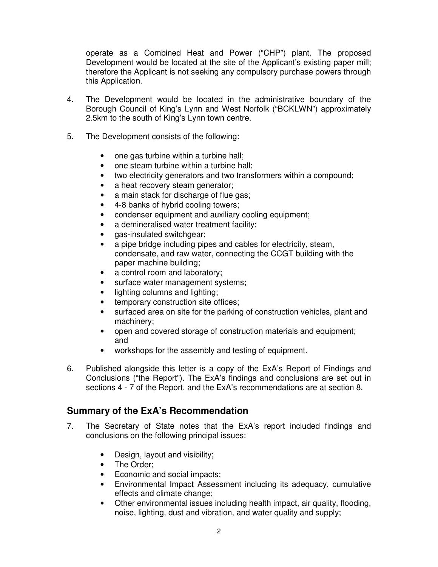operate as a Combined Heat and Power ("CHP") plant. The proposed Development would be located at the site of the Applicant's existing paper mill; therefore the Applicant is not seeking any compulsory purchase powers through this Application.

- 4. The Development would be located in the administrative boundary of the Borough Council of King's Lynn and West Norfolk ("BCKLWN") approximately 2.5km to the south of King's Lynn town centre.
- 5. The Development consists of the following:
	- one gas turbine within a turbine hall;
	- one steam turbine within a turbine hall;
	- two electricity generators and two transformers within a compound;
	- a heat recovery steam generator;
	- a main stack for discharge of flue gas;
	- 4-8 banks of hybrid cooling towers;
	- condenser equipment and auxiliary cooling equipment;
	- a demineralised water treatment facility;
	- gas-insulated switchgear;
	- a pipe bridge including pipes and cables for electricity, steam, condensate, and raw water, connecting the CCGT building with the paper machine building;
	- a control room and laboratory;
	- surface water management systems;
	- lighting columns and lighting:
	- temporary construction site offices;
	- surfaced area on site for the parking of construction vehicles, plant and machinery;
	- open and covered storage of construction materials and equipment; and
	- workshops for the assembly and testing of equipment.
- 6. Published alongside this letter is a copy of the ExA's Report of Findings and Conclusions ("the Report"). The ExA's findings and conclusions are set out in sections 4 - 7 of the Report, and the ExA's recommendations are at section 8.

# **Summary of the ExA's Recommendation**

- 7. The Secretary of State notes that the ExA's report included findings and conclusions on the following principal issues:
	- Design, layout and visibility;
	- The Order:
	- Economic and social impacts;
	- Environmental Impact Assessment including its adequacy, cumulative effects and climate change;
	- Other environmental issues including health impact, air quality, flooding, noise, lighting, dust and vibration, and water quality and supply;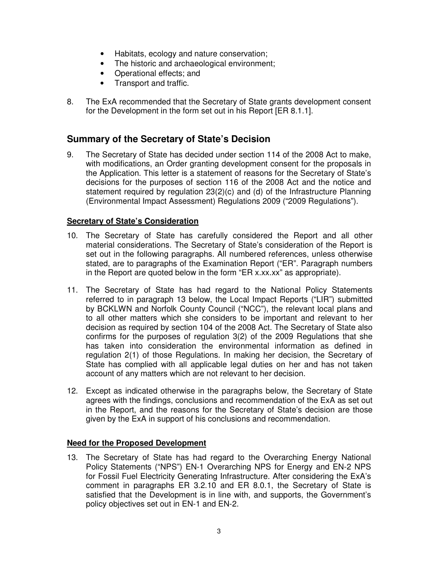- Habitats, ecology and nature conservation;
- The historic and archaeological environment;
- Operational effects; and
- Transport and traffic.
- 8. The ExA recommended that the Secretary of State grants development consent for the Development in the form set out in his Report [ER 8.1.1].

# **Summary of the Secretary of State's Decision**

9. The Secretary of State has decided under section 114 of the 2008 Act to make, with modifications, an Order granting development consent for the proposals in the Application. This letter is a statement of reasons for the Secretary of State's decisions for the purposes of section 116 of the 2008 Act and the notice and statement required by regulation 23(2)(c) and (d) of the Infrastructure Planning (Environmental Impact Assessment) Regulations 2009 ("2009 Regulations").

### **Secretary of State's Consideration**

- 10. The Secretary of State has carefully considered the Report and all other material considerations. The Secretary of State's consideration of the Report is set out in the following paragraphs. All numbered references, unless otherwise stated, are to paragraphs of the Examination Report ("ER". Paragraph numbers in the Report are quoted below in the form "ER x.xx.xx" as appropriate).
- 11. The Secretary of State has had regard to the National Policy Statements referred to in paragraph 13 below, the Local Impact Reports ("LIR") submitted by BCKLWN and Norfolk County Council ("NCC"), the relevant local plans and to all other matters which she considers to be important and relevant to her decision as required by section 104 of the 2008 Act. The Secretary of State also confirms for the purposes of regulation 3(2) of the 2009 Regulations that she has taken into consideration the environmental information as defined in regulation 2(1) of those Regulations. In making her decision, the Secretary of State has complied with all applicable legal duties on her and has not taken account of any matters which are not relevant to her decision.
- 12. Except as indicated otherwise in the paragraphs below, the Secretary of State agrees with the findings, conclusions and recommendation of the ExA as set out in the Report, and the reasons for the Secretary of State's decision are those given by the ExA in support of his conclusions and recommendation.

### **Need for the Proposed Development**

13. The Secretary of State has had regard to the Overarching Energy National Policy Statements ("NPS") EN-1 Overarching NPS for Energy and EN-2 NPS for Fossil Fuel Electricity Generating Infrastructure. After considering the ExA's comment in paragraphs ER 3.2.10 and ER 8.0.1, the Secretary of State is satisfied that the Development is in line with, and supports, the Government's policy objectives set out in EN-1 and EN-2.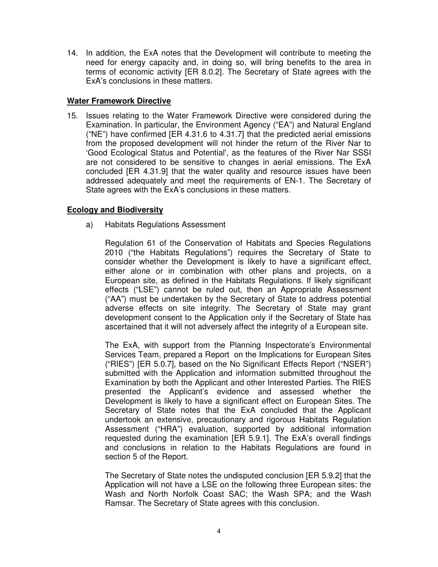14. In addition, the ExA notes that the Development will contribute to meeting the need for energy capacity and, in doing so, will bring benefits to the area in terms of economic activity [ER 8.0.2]. The Secretary of State agrees with the ExA's conclusions in these matters.

### **Water Framework Directive**

15. Issues relating to the Water Framework Directive were considered during the Examination. In particular, the Environment Agency ("EA") and Natural England ("NE") have confirmed [ER 4.31.6 to 4.31.7] that the predicted aerial emissions from the proposed development will not hinder the return of the River Nar to 'Good Ecological Status and Potential', as the features of the River Nar SSSI are not considered to be sensitive to changes in aerial emissions. The ExA concluded [ER 4.31.9] that the water quality and resource issues have been addressed adequately and meet the requirements of EN-1. The Secretary of State agrees with the ExA's conclusions in these matters.

### **Ecology and Biodiversity**

a) Habitats Regulations Assessment

 Regulation 61 of the Conservation of Habitats and Species Regulations 2010 ("the Habitats Regulations") requires the Secretary of State to consider whether the Development is likely to have a significant effect, either alone or in combination with other plans and projects, on a European site, as defined in the Habitats Regulations. If likely significant effects ("LSE") cannot be ruled out, then an Appropriate Assessment ("AA") must be undertaken by the Secretary of State to address potential adverse effects on site integrity. The Secretary of State may grant development consent to the Application only if the Secretary of State has ascertained that it will not adversely affect the integrity of a European site.

 The ExA, with support from the Planning Inspectorate's Environmental Services Team, prepared a Report on the Implications for European Sites ("RIES") [ER 5.0.7], based on the No Significant Effects Report ("NSER") submitted with the Application and information submitted throughout the Examination by both the Applicant and other Interested Parties. The RIES presented the Applicant's evidence and assessed whether the Development is likely to have a significant effect on European Sites. The Secretary of State notes that the ExA concluded that the Applicant undertook an extensive, precautionary and rigorous Habitats Regulation Assessment ("HRA") evaluation, supported by additional information requested during the examination [ER 5.9.1]. The ExA's overall findings and conclusions in relation to the Habitats Regulations are found in section 5 of the Report.

 The Secretary of State notes the undisputed conclusion [ER 5.9.2] that the Application will not have a LSE on the following three European sites: the Wash and North Norfolk Coast SAC; the Wash SPA; and the Wash Ramsar. The Secretary of State agrees with this conclusion.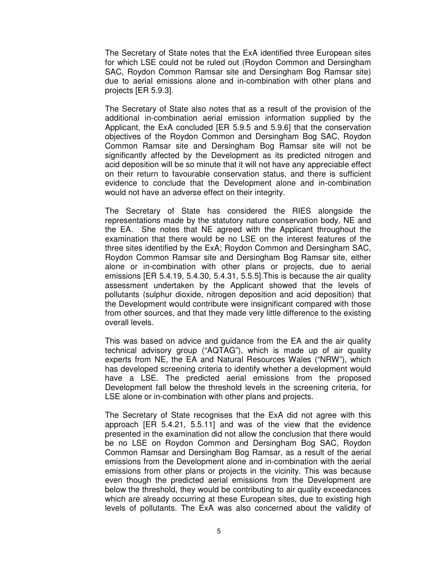The Secretary of State notes that the ExA identified three European sites for which LSE could not be ruled out (Roydon Common and Dersingham SAC, Roydon Common Ramsar site and Dersingham Bog Ramsar site) due to aerial emissions alone and in-combination with other plans and projects [ER 5.9.3].

 The Secretary of State also notes that as a result of the provision of the additional in-combination aerial emission information supplied by the Applicant, the ExA concluded [ER 5.9.5 and 5.9.6] that the conservation objectives of the Roydon Common and Dersingham Bog SAC, Roydon Common Ramsar site and Dersingham Bog Ramsar site will not be significantly affected by the Development as its predicted nitrogen and acid deposition will be so minute that it will not have any appreciable effect on their return to favourable conservation status, and there is sufficient evidence to conclude that the Development alone and in-combination would not have an adverse effect on their integrity.

 The Secretary of State has considered the RIES alongside the representations made by the statutory nature conservation body, NE and the EA. She notes that NE agreed with the Applicant throughout the examination that there would be no LSE on the interest features of the three sites identified by the ExA; Roydon Common and Dersingham SAC, Roydon Common Ramsar site and Dersingham Bog Ramsar site, either alone or in-combination with other plans or projects, due to aerial emissions [ER 5.4.19, 5.4.30, 5.4.31, 5.5.5].This is because the air quality assessment undertaken by the Applicant showed that the levels of pollutants (sulphur dioxide, nitrogen deposition and acid deposition) that the Development would contribute were insignificant compared with those from other sources, and that they made very little difference to the existing overall levels.

 This was based on advice and guidance from the EA and the air quality technical advisory group ("AQTAG"), which is made up of air quality experts from NE, the EA and Natural Resources Wales ("NRW"), which has developed screening criteria to identify whether a development would have a LSE. The predicted aerial emissions from the proposed Development fall below the threshold levels in the screening criteria, for LSE alone or in-combination with other plans and projects.

 The Secretary of State recognises that the ExA did not agree with this approach [ER 5.4.21, 5.5.11] and was of the view that the evidence presented in the examination did not allow the conclusion that there would be no LSE on Roydon Common and Dersingham Bog SAC, Roydon Common Ramsar and Dersingham Bog Ramsar, as a result of the aerial emissions from the Development alone and in-combination with the aerial emissions from other plans or projects in the vicinity. This was because even though the predicted aerial emissions from the Development are below the threshold, they would be contributing to air quality exceedances which are already occurring at these European sites, due to existing high levels of pollutants. The ExA was also concerned about the validity of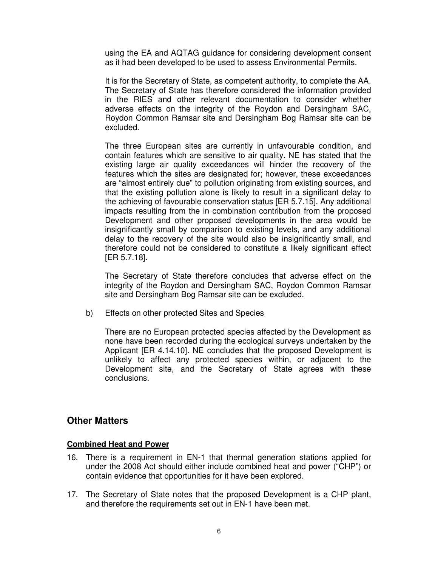using the EA and AQTAG guidance for considering development consent as it had been developed to be used to assess Environmental Permits.

 It is for the Secretary of State, as competent authority, to complete the AA. The Secretary of State has therefore considered the information provided in the RIES and other relevant documentation to consider whether adverse effects on the integrity of the Roydon and Dersingham SAC, Roydon Common Ramsar site and Dersingham Bog Ramsar site can be excluded.

 The three European sites are currently in unfavourable condition, and contain features which are sensitive to air quality. NE has stated that the existing large air quality exceedances will hinder the recovery of the features which the sites are designated for; however, these exceedances are "almost entirely due" to pollution originating from existing sources, and that the existing pollution alone is likely to result in a significant delay to the achieving of favourable conservation status [ER 5.7.15]. Any additional impacts resulting from the in combination contribution from the proposed Development and other proposed developments in the area would be insignificantly small by comparison to existing levels, and any additional delay to the recovery of the site would also be insignificantly small, and therefore could not be considered to constitute a likely significant effect [ER 5.7.18].

 The Secretary of State therefore concludes that adverse effect on the integrity of the Roydon and Dersingham SAC, Roydon Common Ramsar site and Dersingham Bog Ramsar site can be excluded.

b) Effects on other protected Sites and Species

 There are no European protected species affected by the Development as none have been recorded during the ecological surveys undertaken by the Applicant [ER 4.14.10]. NE concludes that the proposed Development is unlikely to affect any protected species within, or adjacent to the Development site, and the Secretary of State agrees with these conclusions.

## **Other Matters**

#### **Combined Heat and Power**

- 16. There is a requirement in EN-1 that thermal generation stations applied for under the 2008 Act should either include combined heat and power ("CHP") or contain evidence that opportunities for it have been explored.
- 17. The Secretary of State notes that the proposed Development is a CHP plant, and therefore the requirements set out in EN-1 have been met.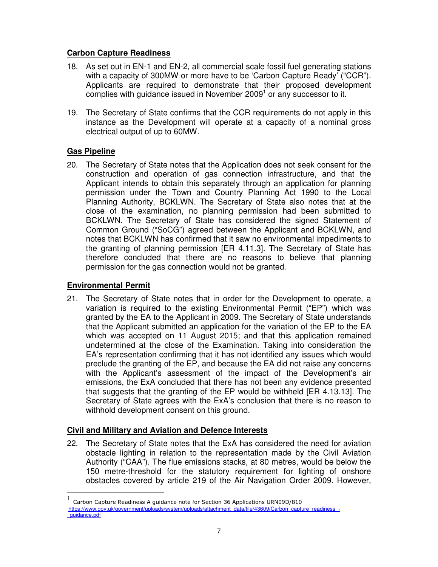## **Carbon Capture Readiness**

- 18. As set out in EN-1 and EN-2, all commercial scale fossil fuel generating stations with a capacity of 300MW or more have to be 'Carbon Capture Ready' ("CCR"). Applicants are required to demonstrate that their proposed development complies with guidance issued in November 2009<sup>1</sup> or any successor to it.
- 19. The Secretary of State confirms that the CCR requirements do not apply in this instance as the Development will operate at a capacity of a nominal gross electrical output of up to 60MW.

# **Gas Pipeline**

20. The Secretary of State notes that the Application does not seek consent for the construction and operation of gas connection infrastructure, and that the Applicant intends to obtain this separately through an application for planning permission under the Town and Country Planning Act 1990 to the Local Planning Authority, BCKLWN. The Secretary of State also notes that at the close of the examination, no planning permission had been submitted to BCKLWN. The Secretary of State has considered the signed Statement of Common Ground ("SoCG") agreed between the Applicant and BCKLWN, and notes that BCKLWN has confirmed that it saw no environmental impediments to the granting of planning permission [ER 4.11.3]. The Secretary of State has therefore concluded that there are no reasons to believe that planning permission for the gas connection would not be granted.

## **Environmental Permit**

21. The Secretary of State notes that in order for the Development to operate, a variation is required to the existing Environmental Permit ("EP") which was granted by the EA to the Applicant in 2009. The Secretary of State understands that the Applicant submitted an application for the variation of the EP to the EA which was accepted on 11 August 2015; and that this application remained undetermined at the close of the Examination. Taking into consideration the EA's representation confirming that it has not identified any issues which would preclude the granting of the EP, and because the EA did not raise any concerns with the Applicant's assessment of the impact of the Development's air emissions, the ExA concluded that there has not been any evidence presented that suggests that the granting of the EP would be withheld [ER 4.13.13]. The Secretary of State agrees with the ExA's conclusion that there is no reason to withhold development consent on this ground.

## **Civil and Military and Aviation and Defence Interests**

22. The Secretary of State notes that the ExA has considered the need for aviation obstacle lighting in relation to the representation made by the Civil Aviation Authority ("CAA"). The flue emissions stacks, at 80 metres, would be below the 150 metre-threshold for the statutory requirement for lighting of onshore obstacles covered by article 219 of the Air Navigation Order 2009. However,

 1 Carbon Capture Readiness A guidance note for Section 36 Applications URN09D/810 https://www.gov.uk/government/uploads/system/uploads/attachment\_data/file/43609/Carbon\_capture\_readiness\_-\_guidance.pdf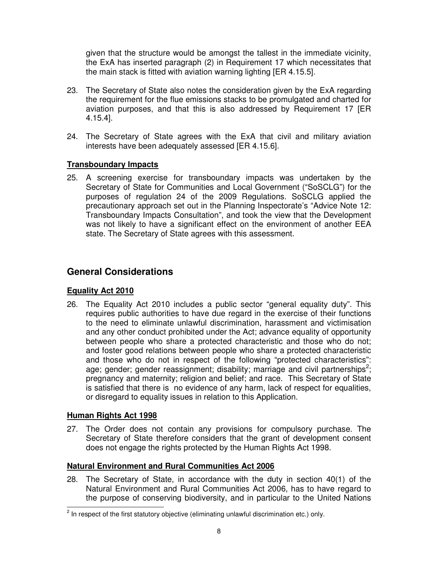given that the structure would be amongst the tallest in the immediate vicinity, the ExA has inserted paragraph (2) in Requirement 17 which necessitates that the main stack is fitted with aviation warning lighting [ER 4.15.5].

- 23. The Secretary of State also notes the consideration given by the ExA regarding the requirement for the flue emissions stacks to be promulgated and charted for aviation purposes, and that this is also addressed by Requirement 17 [ER 4.15.4].
- 24. The Secretary of State agrees with the ExA that civil and military aviation interests have been adequately assessed [ER 4.15.6].

### **Transboundary Impacts**

25. A screening exercise for transboundary impacts was undertaken by the Secretary of State for Communities and Local Government ("SoSCLG") for the purposes of regulation 24 of the 2009 Regulations. SoSCLG applied the precautionary approach set out in the Planning Inspectorate's "Advice Note 12: Transboundary Impacts Consultation", and took the view that the Development was not likely to have a significant effect on the environment of another EEA state. The Secretary of State agrees with this assessment.

# **General Considerations**

### **Equality Act 2010**

26. The Equality Act 2010 includes a public sector "general equality duty". This requires public authorities to have due regard in the exercise of their functions to the need to eliminate unlawful discrimination, harassment and victimisation and any other conduct prohibited under the Act; advance equality of opportunity between people who share a protected characteristic and those who do not; and foster good relations between people who share a protected characteristic and those who do not in respect of the following "protected characteristics": age; gender; gender reassignment; disability; marriage and civil partnerships<sup>2</sup>; pregnancy and maternity; religion and belief; and race. This Secretary of State is satisfied that there is no evidence of any harm, lack of respect for equalities, or disregard to equality issues in relation to this Application.

### **Human Rights Act 1998**

27. The Order does not contain any provisions for compulsory purchase. The Secretary of State therefore considers that the grant of development consent does not engage the rights protected by the Human Rights Act 1998.

## **Natural Environment and Rural Communities Act 2006**

28. The Secretary of State, in accordance with the duty in section 40(1) of the Natural Environment and Rural Communities Act 2006, has to have regard to the purpose of conserving biodiversity, and in particular to the United Nations

 2 In respect of the first statutory objective (eliminating unlawful discrimination etc.) only.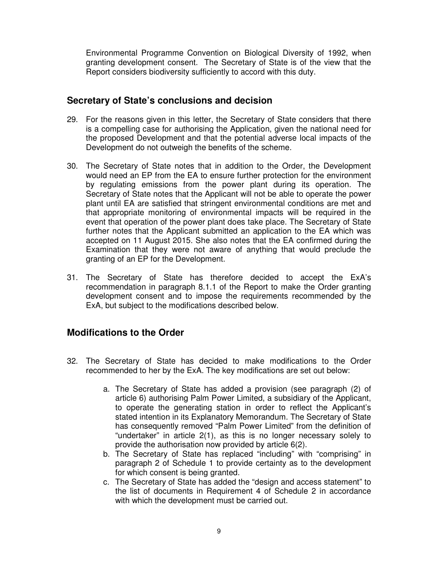Environmental Programme Convention on Biological Diversity of 1992, when granting development consent. The Secretary of State is of the view that the Report considers biodiversity sufficiently to accord with this duty.

## **Secretary of State's conclusions and decision**

- 29. For the reasons given in this letter, the Secretary of State considers that there is a compelling case for authorising the Application, given the national need for the proposed Development and that the potential adverse local impacts of the Development do not outweigh the benefits of the scheme.
- 30. The Secretary of State notes that in addition to the Order, the Development would need an EP from the EA to ensure further protection for the environment by regulating emissions from the power plant during its operation. The Secretary of State notes that the Applicant will not be able to operate the power plant until EA are satisfied that stringent environmental conditions are met and that appropriate monitoring of environmental impacts will be required in the event that operation of the power plant does take place. The Secretary of State further notes that the Applicant submitted an application to the EA which was accepted on 11 August 2015. She also notes that the EA confirmed during the Examination that they were not aware of anything that would preclude the granting of an EP for the Development.
- 31. The Secretary of State has therefore decided to accept the ExA's recommendation in paragraph 8.1.1 of the Report to make the Order granting development consent and to impose the requirements recommended by the ExA, but subject to the modifications described below.

# **Modifications to the Order**

- 32. The Secretary of State has decided to make modifications to the Order recommended to her by the ExA. The key modifications are set out below:
	- a. The Secretary of State has added a provision (see paragraph (2) of article 6) authorising Palm Power Limited, a subsidiary of the Applicant, to operate the generating station in order to reflect the Applicant's stated intention in its Explanatory Memorandum. The Secretary of State has consequently removed "Palm Power Limited" from the definition of "undertaker" in article 2(1), as this is no longer necessary solely to provide the authorisation now provided by article 6(2).
	- b. The Secretary of State has replaced "including" with "comprising" in paragraph 2 of Schedule 1 to provide certainty as to the development for which consent is being granted.
	- c. The Secretary of State has added the "design and access statement" to the list of documents in Requirement 4 of Schedule 2 in accordance with which the development must be carried out.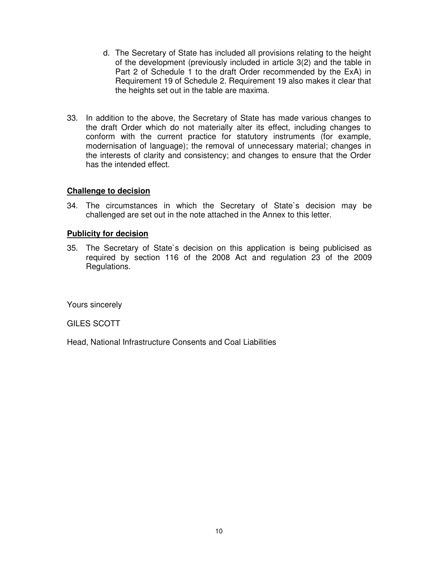- d. The Secretary of State has included all provisions relating to the height of the development (previously included in article 3(2) and the table in Part 2 of Schedule 1 to the draft Order recommended by the ExA) in Requirement 19 of Schedule 2. Requirement 19 also makes it clear that the heights set out in the table are maxima.
- 33. In addition to the above, the Secretary of State has made various changes to the draft Order which do not materially alter its effect, including changes to conform with the current practice for statutory instruments (for example, modernisation of language); the removal of unnecessary material; changes in the interests of clarity and consistency; and changes to ensure that the Order has the intended effect.

### **Challenge to decision**

34. The circumstances in which the Secretary of State`s decision may be challenged are set out in the note attached in the Annex to this letter.

### **Publicity for decision**

35. The Secretary of State`s decision on this application is being publicised as required by section 116 of the 2008 Act and regulation 23 of the 2009 Regulations.

Yours sincerely

GILES SCOTT

Head, National Infrastructure Consents and Coal Liabilities